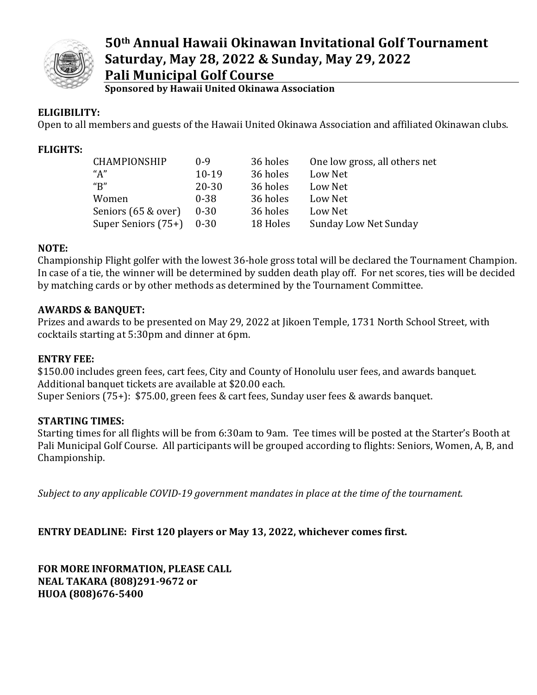

# **50th Annual Hawaii Okinawan Invitational Golf Tournament Saturday, May 28, 2022 & Sunday, May 29, 2022 Pali Municipal Golf Course**

**Sponsored by Hawaii United Okinawa Association** 

### **ELIGIBILITY:**

Open to all members and guests of the Hawaii United Okinawa Association and affiliated Okinawan clubs.

#### **FLIGHTS:**

| CHAMPIONSHIP        | $0 - 9$   | 36 holes | One low gross, all others net |
|---------------------|-----------|----------|-------------------------------|
| "A"                 | $10-19$   | 36 holes | Low Net                       |
| " $B"$              | $20 - 30$ | 36 holes | Low Net                       |
| Women               | $0 - 38$  | 36 holes | Low Net                       |
| Seniors (65 & over) | $0 - 30$  | 36 holes | Low Net                       |
| Super Seniors (75+) | $0 - 30$  | 18 Holes | Sunday Low Net Sunday         |

#### **NOTE:**

Championship Flight golfer with the lowest 36-hole gross total will be declared the Tournament Champion. In case of a tie, the winner will be determined by sudden death play off. For net scores, ties will be decided by matching cards or by other methods as determined by the Tournament Committee.

#### **AWARDS & BANQUET:**

Prizes and awards to be presented on May 29, 2022 at Jikoen Temple, 1731 North School Street, with cocktails starting at 5:30pm and dinner at 6pm.

#### **ENTRY FEE:**

\$150.00 includes green fees, cart fees, City and County of Honolulu user fees, and awards banquet. Additional banquet tickets are available at \$20.00 each. Super Seniors (75+): \$75.00, green fees & cart fees, Sunday user fees & awards banquet.

# **STARTING TIMES:**

Starting times for all flights will be from 6:30am to 9am. Tee times will be posted at the Starter's Booth at Pali Municipal Golf Course. All participants will be grouped according to flights: Seniors, Women, A, B, and Championship.

*Subject to any applicable COVID-19 government mandates in place at the time of the tournament.*

# **ENTRY DEADLINE: First 120 players or May 13, 2022, whichever comes first.**

**FOR MORE INFORMATION, PLEASE CALL NEAL TAKARA (808)291-9672 or HUOA (808)676-5400**